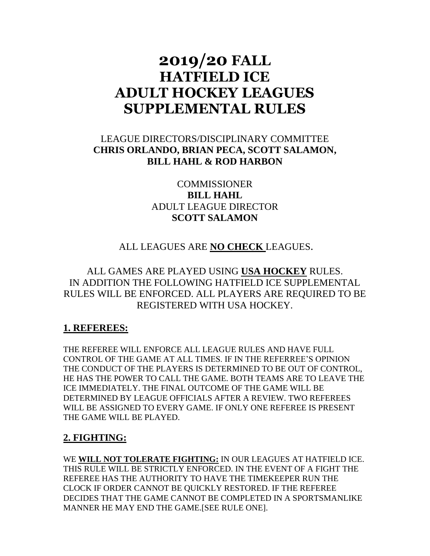# **2019/20 FALL HATFIELD ICE ADULT HOCKEY LEAGUES SUPPLEMENTAL RULES**

## LEAGUE DIRECTORS/DISCIPLINARY COMMITTEE **CHRIS ORLANDO, BRIAN PECA, SCOTT SALAMON, BILL HAHL & ROD HARBON**

**COMMISSIONER BILL HAHL** ADULT LEAGUE DIRECTOR **SCOTT SALAMON**

## ALL LEAGUES ARE **NO CHECK** LEAGUES.

## ALL GAMES ARE PLAYED USING **USA HOCKEY** RULES. IN ADDITION THE FOLLOWING HATFIELD ICE SUPPLEMENTAL RULES WILL BE ENFORCED. ALL PLAYERS ARE REQUIRED TO BE REGISTERED WITH USA HOCKEY.

### **1. REFEREES:**

THE REFEREE WILL ENFORCE ALL LEAGUE RULES AND HAVE FULL CONTROL OF THE GAME AT ALL TIMES. IF IN THE REFERREE'S OPINION THE CONDUCT OF THE PLAYERS IS DETERMINED TO BE OUT OF CONTROL, HE HAS THE POWER TO CALL THE GAME. BOTH TEAMS ARE TO LEAVE THE ICE IMMEDIATELY. THE FINAL OUTCOME OF THE GAME WILL BE DETERMINED BY LEAGUE OFFICIALS AFTER A REVIEW. TWO REFEREES WILL BE ASSIGNED TO EVERY GAME. IF ONLY ONE REFEREE IS PRESENT THE GAME WILL BE PLAYED.

## **2. FIGHTING:**

WE **WILL NOT TOLERATE FIGHTING:** IN OUR LEAGUES AT HATFIELD ICE. THIS RULE WILL BE STRICTLY ENFORCED. IN THE EVENT OF A FIGHT THE REFEREE HAS THE AUTHORITY TO HAVE THE TIMEKEEPER RUN THE CLOCK IF ORDER CANNOT BE QUICKLY RESTORED. IF THE REFEREE DECIDES THAT THE GAME CANNOT BE COMPLETED IN A SPORTSMANLIKE MANNER HE MAY END THE GAME.[SEE RULE ONE].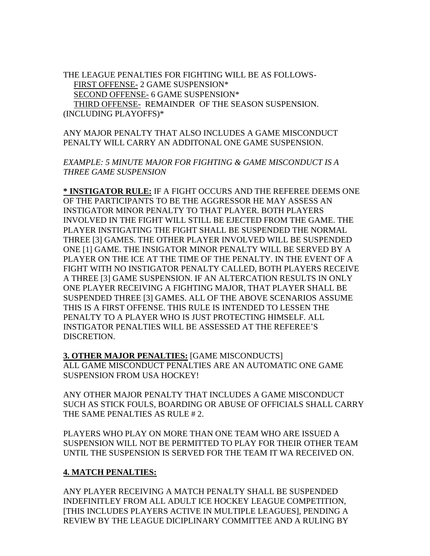THE LEAGUE PENALTIES FOR FIGHTING WILL BE AS FOLLOWS- FIRST OFFENSE- 2 GAME SUSPENSION\* SECOND OFFENSE- 6 GAME SUSPENSION\* THIRD OFFENSE- REMAINDER OF THE SEASON SUSPENSION. (INCLUDING PLAYOFFS)\*

ANY MAJOR PENALTY THAT ALSO INCLUDES A GAME MISCONDUCT PENALTY WILL CARRY AN ADDITONAL ONE GAME SUSPENSION.

*EXAMPLE: 5 MINUTE MAJOR FOR FIGHTING & GAME MISCONDUCT IS A THREE GAME SUSPENSION*

**\* INSTIGATOR RULE:** IF A FIGHT OCCURS AND THE REFEREE DEEMS ONE OF THE PARTICIPANTS TO BE THE AGGRESSOR HE MAY ASSESS AN INSTIGATOR MINOR PENALTY TO THAT PLAYER. BOTH PLAYERS INVOLVED IN THE FIGHT WILL STILL BE EJECTED FROM THE GAME. THE PLAYER INSTIGATING THE FIGHT SHALL BE SUSPENDED THE NORMAL THREE [3] GAMES. THE OTHER PLAYER INVOLVED WILL BE SUSPENDED ONE [1] GAME. THE INSIGATOR MINOR PENALTY WILL BE SERVED BY A PLAYER ON THE ICE AT THE TIME OF THE PENALTY. IN THE EVENT OF A FIGHT WITH NO INSTIGATOR PENALTY CALLED, BOTH PLAYERS RECEIVE A THREE [3] GAME SUSPENSION. IF AN ALTERCATION RESULTS IN ONLY ONE PLAYER RECEIVING A FIGHTING MAJOR, THAT PLAYER SHALL BE SUSPENDED THREE [3] GAMES. ALL OF THE ABOVE SCENARIOS ASSUME THIS IS A FIRST OFFENSE. THIS RULE IS INTENDED TO LESSEN THE PENALTY TO A PLAYER WHO IS JUST PROTECTING HIMSELF. ALL INSTIGATOR PENALTIES WILL BE ASSESSED AT THE REFEREE'S DISCRETION.

**3. OTHER MAJOR PENALTIES:** [GAME MISCONDUCTS] ALL GAME MISCONDUCT PENALTIES ARE AN AUTOMATIC ONE GAME SUSPENSION FROM USA HOCKEY!

ANY OTHER MAJOR PENALTY THAT INCLUDES A GAME MISCONDUCT SUCH AS STICK FOULS, BOARDING OR ABUSE OF OFFICIALS SHALL CARRY THE SAME PENALTIES AS RULE #2.

PLAYERS WHO PLAY ON MORE THAN ONE TEAM WHO ARE ISSUED A SUSPENSION WILL NOT BE PERMITTED TO PLAY FOR THEIR OTHER TEAM UNTIL THE SUSPENSION IS SERVED FOR THE TEAM IT WA RECEIVED ON.

#### **4. MATCH PENALTIES:**

ANY PLAYER RECEIVING A MATCH PENALTY SHALL BE SUSPENDED INDEFINITLEY FROM ALL ADULT ICE HOCKEY LEAGUE COMPETITION, [THIS INCLUDES PLAYERS ACTIVE IN MULTIPLE LEAGUES], PENDING A REVIEW BY THE LEAGUE DICIPLINARY COMMITTEE AND A RULING BY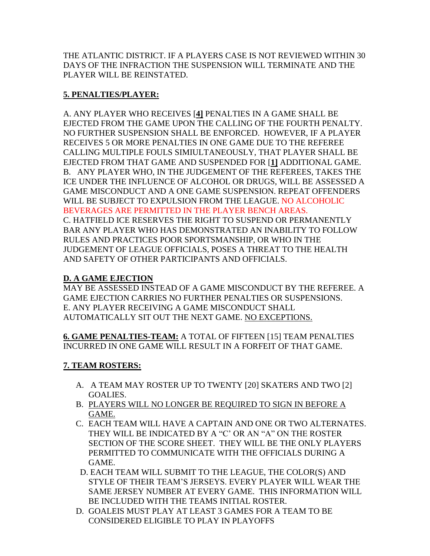THE ATLANTIC DISTRICT. IF A PLAYERS CASE IS NOT REVIEWED WITHIN 30 DAYS OF THE INFRACTION THE SUSPENSION WILL TERMINATE AND THE PLAYER WILL BE REINSTATED.

#### **5. PENALTIES/PLAYER:**

A. ANY PLAYER WHO RECEIVES [**4]** PENALTIES IN A GAME SHALL BE EJECTED FROM THE GAME UPON THE CALLING OF THE FOURTH PENALTY. NO FURTHER SUSPENSION SHALL BE ENFORCED. HOWEVER, IF A PLAYER RECEIVES 5 OR MORE PENALTIES IN ONE GAME DUE TO THE REFEREE CALLING MULTIPLE FOULS SIMIULTANEOUSLY, THAT PLAYER SHALL BE EJECTED FROM THAT GAME AND SUSPENDED FOR [**1]** ADDITIONAL GAME. B. ANY PLAYER WHO, IN THE JUDGEMENT OF THE REFEREES, TAKES THE ICE UNDER THE INFLUENCE OF ALCOHOL OR DRUGS, WILL BE ASSESSED A GAME MISCONDUCT AND A ONE GAME SUSPENSION. REPEAT OFFENDERS WILL BE SUBJECT TO EXPULSION FROM THE LEAGUE. NO ALCOHOLIC BEVERAGES ARE PERMITTED IN THE PLAYER BENCH AREAS. C. HATFIELD ICE RESERVES THE RIGHT TO SUSPEND OR PERMANENTLY BAR ANY PLAYER WHO HAS DEMONSTRATED AN INABILITY TO FOLLOW RULES AND PRACTICES POOR SPORTSMANSHIP, OR WHO IN THE JUDGEMENT OF LEAGUE OFFICIALS, POSES A THREAT TO THE HEALTH AND SAFETY OF OTHER PARTICIPANTS AND OFFICIALS.

#### **D. A GAME EJECTION**

MAY BE ASSESSED INSTEAD OF A GAME MISCONDUCT BY THE REFEREE. A GAME EJECTION CARRIES NO FURTHER PENALTIES OR SUSPENSIONS. E. ANY PLAYER RECEIVING A GAME MISCONDUCT SHALL AUTOMATICALLY SIT OUT THE NEXT GAME. NO EXCEPTIONS.

**6. GAME PENALTIES-TEAM:** A TOTAL OF FIFTEEN [15] TEAM PENALTIES INCURRED IN ONE GAME WILL RESULT IN A FORFEIT OF THAT GAME.

#### **7. TEAM ROSTERS:**

- A. A TEAM MAY ROSTER UP TO TWENTY [20] SKATERS AND TWO [2] GOALIES.
- B. PLAYERS WILL NO LONGER BE REQUIRED TO SIGN IN BEFORE A GAME.
- C. EACH TEAM WILL HAVE A CAPTAIN AND ONE OR TWO ALTERNATES. THEY WILL BE INDICATED BY A "C' OR AN "A" ON THE ROSTER SECTION OF THE SCORE SHEET. THEY WILL BE THE ONLY PLAYERS PERMITTED TO COMMUNICATE WITH THE OFFICIALS DURING A GAME.
- D. EACH TEAM WILL SUBMIT TO THE LEAGUE, THE COLOR(S) AND STYLE OF THEIR TEAM'S JERSEYS. EVERY PLAYER WILL WEAR THE SAME JERSEY NUMBER AT EVERY GAME. THIS INFORMATION WILL BE INCLUDED WITH THE TEAMS INITIAL ROSTER.
- D. GOALEIS MUST PLAY AT LEAST 3 GAMES FOR A TEAM TO BE CONSIDERED ELIGIBLE TO PLAY IN PLAYOFFS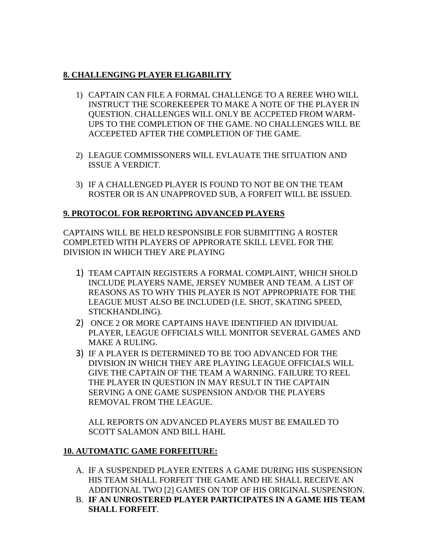#### **8. CHALLENGING PLAYER ELIGABILITY**

- 1) CAPTAIN CAN FILE A FORMAL CHALLENGE TO A REREE WHO WILL INSTRUCT THE SCOREKEEPER TO MAKE A NOTE OF THE PLAYER IN QUESTION. CHALLENGES WILL ONLY BE ACCPETED FROM WARM-UPS TO THE COMPLETION OF THE GAME. NO CHALLENGES WILL BE ACCEPETED AFTER THE COMPLETION OF THE GAME.
- 2) LEAGUE COMMISSONERS WILL EVLAUATE THE SITUATION AND ISSUE A VERDICT.
- 3) IF A CHALLENGED PLAYER IS FOUND TO NOT BE ON THE TEAM ROSTER OR IS AN UNAPPROVED SUB, A FORFEIT WILL BE ISSUED.

#### **9. PROTOCOL FOR REPORTING ADVANCED PLAYERS**

CAPTAINS WILL BE HELD RESPONSIBLE FOR SUBMITTING A ROSTER COMPLETED WITH PLAYERS OF APPRORATE SKILL LEVEL FOR THE DIVISION IN WHICH THEY ARE PLAYING

- 1) TEAM CAPTAIN REGISTERS A FORMAL COMPLAINT, WHICH SHOLD INCLUDE PLAYERS NAME, JERSEY NUMBER AND TEAM. A LIST OF REASONS AS TO WHY THIS PLAYER IS NOT APPROPRIATE FOR THE LEAGUE MUST ALSO BE INCLUDED (I.E. SHOT, SKATING SPEED, STICKHANDLING).
- 2) ONCE 2 OR MORE CAPTAINS HAVE IDENTIFIED AN IDIVIDUAL PLAYER, LEAGUE OFFICIALS WILL MONITOR SEVERAL GAMES AND MAKE A RULING.
- 3) IF A PLAYER IS DETERMINED TO BE TOO ADVANCED FOR THE DIVISION IN WHICH THEY ARE PLAYING LEAGUE OFFICIALS WILL GIVE THE CAPTAIN OF THE TEAM A WARNING. FAILURE TO REEL THE PLAYER IN QUESTION IN MAY RESULT IN THE CAPTAIN SERVING A ONE GAME SUSPENSION AND/OR THE PLAYERS REMOVAL FROM THE LEAGUE.

ALL REPORTS ON ADVANCED PLAYERS MUST BE EMAILED TO SCOTT SALAMON AND BILL HAHL

#### **10. AUTOMATIC GAME FORFEITURE:**

- A. IF A SUSPENDED PLAYER ENTERS A GAME DURING HIS SUSPENSION HIS TEAM SHALL FORFEIT THE GAME AND HE SHALL RECEIVE AN ADDITIONAL TWO [2] GAMES ON TOP OF HIS ORIGINAL SUSPENSION.
- B. **IF AN UNROSTERED PLAYER PARTICIPATES IN A GAME HIS TEAM SHALL FORFEIT**.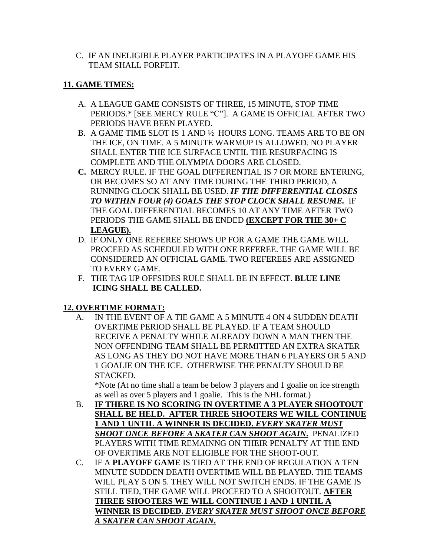C. IF AN INELIGIBLE PLAYER PARTICIPATES IN A PLAYOFF GAME HIS TEAM SHALL FORFEIT.

#### **11. GAME TIMES:**

- A. A LEAGUE GAME CONSISTS OF THREE, 15 MINUTE, STOP TIME PERIODS.\* [SEE MERCY RULE "C"]. A GAME IS OFFICIAL AFTER TWO PERIODS HAVE BEEN PLAYED.
- B. A GAME TIME SLOT IS 1 AND ½ HOURS LONG. TEAMS ARE TO BE ON THE ICE, ON TIME. A 5 MINUTE WARMUP IS ALLOWED. NO PLAYER SHALL ENTER THE ICE SURFACE UNTIL THE RESURFACING IS COMPLETE AND THE OLYMPIA DOORS ARE CLOSED.
- **C.** MERCY RULE. IF THE GOAL DIFFERENTIAL IS 7 OR MORE ENTERING, OR BECOMES SO AT ANY TIME DURING THE THIRD PERIOD, A RUNNING CLOCK SHALL BE USED. *IF THE DIFFERENTIAL CLOSES TO WITHIN FOUR (4) GOALS THE STOP CLOCK SHALL RESUME.* IF THE GOAL DIFFERENTIAL BECOMES 10 AT ANY TIME AFTER TWO PERIODS THE GAME SHALL BE ENDED **(EXCEPT FOR THE 30+ C LEAGUE).**
- D. IF ONLY ONE REFEREE SHOWS UP FOR A GAME THE GAME WILL PROCEED AS SCHEDULED WITH ONE REFEREE. THE GAME WILL BE CONSIDERED AN OFFICIAL GAME. TWO REFEREES ARE ASSIGNED TO EVERY GAME.
- F. THE TAG UP OFFSIDES RULE SHALL BE IN EFFECT. **BLUE LINE ICING SHALL BE CALLED.**

### **12. OVERTIME FORMAT:**

A. IN THE EVENT OF A TIE GAME A 5 MINUTE 4 ON 4 SUDDEN DEATH OVERTIME PERIOD SHALL BE PLAYED. IF A TEAM SHOULD RECEIVE A PENALTY WHILE ALREADY DOWN A MAN THEN THE NON OFFENDING TEAM SHALL BE PERMITTED AN EXTRA SKATER AS LONG AS THEY DO NOT HAVE MORE THAN 6 PLAYERS OR 5 AND 1 GOALIE ON THE ICE. OTHERWISE THE PENALTY SHOULD BE STACKED.

\*Note (At no time shall a team be below 3 players and 1 goalie on ice strength as well as over 5 players and 1 goalie. This is the NHL format.)

- B. **IF THERE IS NO SCORING IN OVERTIME A 3 PLAYER SHOOTOUT SHALL BE HELD. AFTER THREE SHOOTERS WE WILL CONTINUE 1 AND 1 UNTIL A WINNER IS DECIDED.** *EVERY SKATER MUST SHOOT ONCE BEFORE A SKATER CAN SHOOT AGAIN***.** PENALIZED PLAYERS WITH TIME REMAINNG ON THEIR PENALTY AT THE END OF OVERTIME ARE NOT ELIGIBLE FOR THE SHOOT-OUT.
- C. IF A **PLAYOFF GAME** IS TIED AT THE END OF REGULATION A TEN MINUTE SUDDEN DEATH OVERTIME WILL BE PLAYED. THE TEAMS WILL PLAY 5 ON 5. THEY WILL NOT SWITCH ENDS. IF THE GAME IS STILL TIED, THE GAME WILL PROCEED TO A SHOOTOUT. **AFTER THREE SHOOTERS WE WILL CONTINUE 1 AND 1 UNTIL A WINNER IS DECIDED.** *EVERY SKATER MUST SHOOT ONCE BEFORE A SKATER CAN SHOOT AGAIN***.**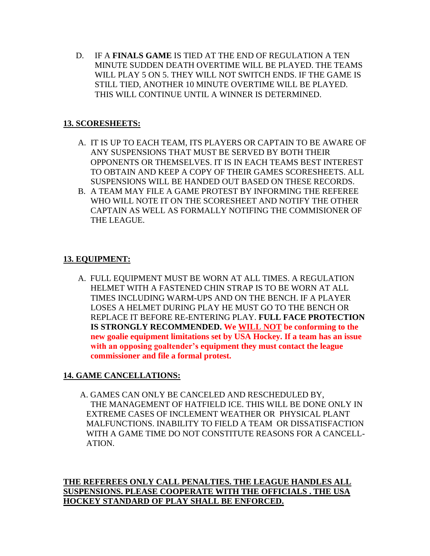D. IF A **FINALS GAME** IS TIED AT THE END OF REGULATION A TEN MINUTE SUDDEN DEATH OVERTIME WILL BE PLAYED. THE TEAMS WILL PLAY 5 ON 5. THEY WILL NOT SWITCH ENDS. IF THE GAME IS STILL TIED, ANOTHER 10 MINUTE OVERTIME WILL BE PLAYED. THIS WILL CONTINUE UNTIL A WINNER IS DETERMINED.

#### **13. SCORESHEETS:**

- A. IT IS UP TO EACH TEAM, ITS PLAYERS OR CAPTAIN TO BE AWARE OF ANY SUSPENSIONS THAT MUST BE SERVED BY BOTH THEIR OPPONENTS OR THEMSELVES. IT IS IN EACH TEAMS BEST INTEREST TO OBTAIN AND KEEP A COPY OF THEIR GAMES SCORESHEETS. ALL SUSPENSIONS WILL BE HANDED OUT BASED ON THESE RECORDS.
- B. A TEAM MAY FILE A GAME PROTEST BY INFORMING THE REFEREE WHO WILL NOTE IT ON THE SCORESHEET AND NOTIFY THE OTHER CAPTAIN AS WELL AS FORMALLY NOTIFING THE COMMISIONER OF THE LEAGUE.

#### **13. EQUIPMENT:**

 A. FULL EQUIPMENT MUST BE WORN AT ALL TIMES. A REGULATION HELMET WITH A FASTENED CHIN STRAP IS TO BE WORN AT ALL TIMES INCLUDING WARM-UPS AND ON THE BENCH. IF A PLAYER LOSES A HELMET DURING PLAY HE MUST GO TO THE BENCH OR REPLACE IT BEFORE RE-ENTERING PLAY. **FULL FACE PROTECTION IS STRONGLY RECOMMENDED. We WILL NOT be conforming to the new goalie equipment limitations set by USA Hockey. If a team has an issue with an opposing goaltender's equipment they must contact the league commissioner and file a formal protest.**

#### **14. GAME CANCELLATIONS:**

 A. GAMES CAN ONLY BE CANCELED AND RESCHEDULED BY, THE MANAGEMENT OF HATFIELD ICE. THIS WILL BE DONE ONLY IN EXTREME CASES OF INCLEMENT WEATHER OR PHYSICAL PLANT MALFUNCTIONS. INABILITY TO FIELD A TEAM OR DISSATISFACTION WITH A GAME TIME DO NOT CONSTITUTE REASONS FOR A CANCELL- ATION.

**THE REFEREES ONLY CALL PENALTIES. THE LEAGUE HANDLES ALL SUSPENSIONS. PLEASE COOPERATE WITH THE OFFICIALS . THE USA HOCKEY STANDARD OF PLAY SHALL BE ENFORCED.**